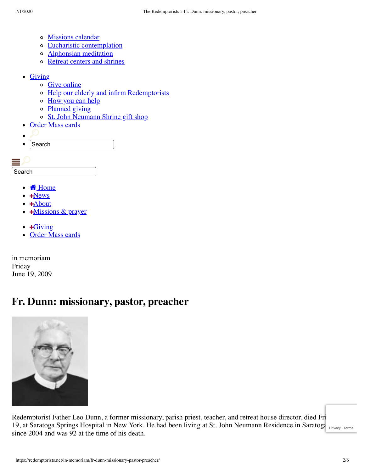- o [Missions calendar](https://redemptorists.net/missions-prayer/missions-calendar/)
- o [Eucharistic contemplation](https://redemptorists.net/missions-prayer/eucharistic-contemplation/)
- o **Alphonsian** meditation
- o [Retreat centers and shrines](https://redemptorists.net/missions-prayer/retreat-centers-and-shrines/)
- $\bullet$  Giving
	- o [Give online](https://redemptorists.net/giving/)
	- o [Help our elderly and infirm Redemptorists](https://redemptorists.net/light-of-hope/)
	- o [How you can help](https://redemptorists.net/how-you-can-help/)
	- o [Planned giving](https://redemptorists.net/planned-giving/)
	- o [St. John Neumann Shrine gift shop](https://redemptorists.net/gift-shop/)
- [Order Mass cards](https://redemptorists.net/mass-cards/)
- 
- Search

Search

- **The [Home](http://72.52.151.213/)**
- News
- About
- **+Missions & prayer**
- $+Giving$
- [Order Mass cards](https://redemptorists.net/mass-cards/)  $\bullet$

in memoriam Friday June 19, 2009

## **Fr. Dunn: missionary, pastor, preacher**



Redemptorist Father Leo Dunn, a former missionary, parish priest, teacher, and retreat house director, died Fri 19, at Saratoga Springs Hospital in New York. He had been living at St. John Neumann Residence in Saratoga [Privacy](https://www.google.com/intl/en/policies/privacy/) Terms since 2004 and was 92 at the time of his death.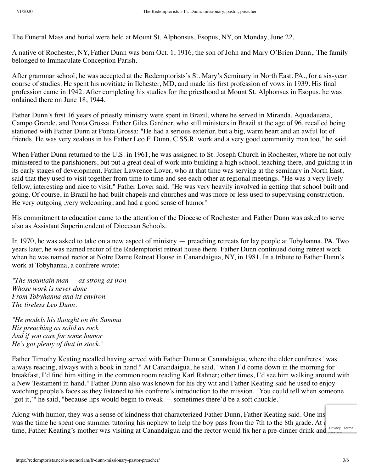The Funeral Mass and burial were held at Mount St. Alphonsus, Esopus, NY, on Monday, June 22.

A native of Rochester, NY, Father Dunn was born Oct. 1, 1916, the son of John and Mary O'Brien Dunn,. The family belonged to Immaculate Conception Parish.

After grammar school, he was accepted at the Redemptorists's St. Mary's Seminary in North East. PA., for a six-year course of studies. He spent his novitiate in Ilchester, MD, and made his first profession of vows in 1939. His final profession came in 1942. After completing his studies for the priesthood at Mount St. Alphonsus in Esopus, he was ordained there on June 18, 1944.

Father Dunn's first 16 years of priestly ministry were spent in Brazil, where he served in Miranda, Aquadauana, Campo Grande, and Ponta Grossa. Father Giles Gardner, who still ministers in Brazil at the age of 96, recalled being stationed with Father Dunn at Ponta Grossa: "He had a serious exterior, but a big, warm heart and an awful lot of friends. He was very zealous in his Father Leo F. Dunn, C.SS.R. work and a very good community man too," he said.

When Father Dunn returned to the U.S. in 1961, he was assigned to St. Joseph Church in Rochester, where he not only ministered to the parishioners, but put a great deal of work into building a high school, teaching there, and guiding it in its early stages of development. Father Lawrence Lover, who at that time was serving at the seminary in North East, said that they used to visit together from time to time and see each other at regional meetings. "He was a very lively fellow, interesting and nice to visit," Father Lover said. "He was very heavily involved in getting that school built and going. Of course, in Brazil he had built chapels and churches and was more or less used to supervising construction. He very outgoing ,very welcoming, and had a good sense of humor"

His commitment to education came to the attention of the Diocese of Rochester and Father Dunn was asked to serve also as Assistant Superintendent of Diocesan Schools.

In 1970, he was asked to take on a new aspect of ministry — preaching retreats for lay people at Tobyhanna, PA. Two years later, he was named rector of the Redemptorist retreat house there. Father Dunn continued doing retreat work when he was named rector at Notre Dame Retreat House in Canandaigua, NY, in 1981. In a tribute to Father Dunn's work at Tobyhanna, a confrere wrote:

*"The mountain man — as strong as iron Whose work is never done From Tobyhanna and its environ The tireless Leo Dunn.*

*"He models his thought on the Summa His preaching as solid as rock And if you care for some humor He's got plenty of that in stock."*

Father Timothy Keating recalled having served with Father Dunn at Canandaigua, where the elder confreres "was always reading, always with a book in hand." At Canandaigua, he said, "when I'd come down in the morning for breakfast, I'd find him sitting in the common room reading Karl Rahner; other times, I'd see him walking around with a New Testament in hand." Father Dunn also was known for his dry wit and Father Keating said he used to enjoy watching people's faces as they listened to his confrere's introduction to the mission. "You could tell when someone 'got it,'" he said, "because lips would begin to tweak — sometimes there'd be a soft chuckle."

Along with humor, they was a sense of kindness that characterized Father Dunn, Father Keating said. One instance was the time he spent one summer tutoring his nephew to help the boy pass from the 7th to the 8th grade. At a<br>time Fether Kesting's mether was visiting at Canandaisms and the mater would fix have a grading and wink and Pri time, Father Keating's mother was visiting at Canandaigua and the rector would fix her a pre-dinner drink and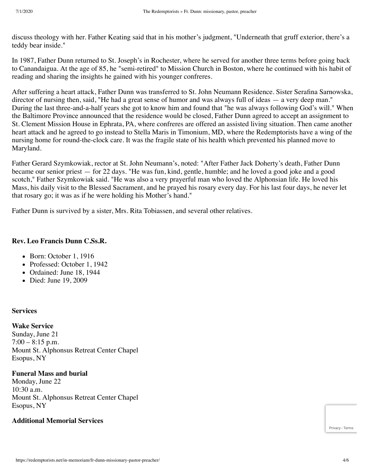discuss theology with her. Father Keating said that in his mother's judgment, "Underneath that gruff exterior, there's a teddy bear inside."

In 1987, Father Dunn returned to St. Joseph's in Rochester, where he served for another three terms before going back to Canandaigua. At the age of 85, he "semi-retired" to Mission Church in Boston, where he continued with his habit of reading and sharing the insights he gained with his younger confreres.

After suffering a heart attack, Father Dunn was transferred to St. John Neumann Residence. Sister Serafina Sarnowska, director of nursing then, said, "He had a great sense of humor and was always full of ideas — a very deep man." During the last three-and-a-half years she got to know him and found that "he was always following God's will." When the Baltimore Province announced that the residence would be closed, Father Dunn agreed to accept an assignment to St. Clement Mission House in Ephrata, PA, where confreres are offered an assisted living situation. Then came another heart attack and he agreed to go instead to Stella Maris in Timonium, MD, where the Redemptorists have a wing of the nursing home for round-the-clock care. It was the fragile state of his health which prevented his planned move to Maryland.

Father Gerard Szymkowiak, rector at St. John Neumann's, noted: "After Father Jack Doherty's death, Father Dunn became our senior priest — for 22 days. "He was fun, kind, gentle, humble; and he loved a good joke and a good scotch," Father Szymkowiak said. "He was also a very prayerful man who loved the Alphonsian life. He loved his Mass, his daily visit to the Blessed Sacrament, and he prayed his rosary every day. For his last four days, he never let that rosary go; it was as if he were holding his Mother's hand."

Father Dunn is survived by a sister, Mrs. Rita Tobiassen, and several other relatives.

### **Rev. Leo Francis Dunn C.Ss.R.**

- Born: October 1, 1916
- Professed: October 1, 1942
- Ordained: June 18, 1944
- Died: June 19, 2009

#### **Services**

#### **Wake Service**

Sunday, June 21  $7:00 - 8:15$  p.m. Mount St. Alphonsus Retreat Center Chapel Esopus, NY

#### **Funeral Mass and burial**

Monday, June 22 10:30 a.m. Mount St. Alphonsus Retreat Center Chapel Esopus, NY

### **Additional Memorial Services**

[Privacy](https://www.google.com/intl/en/policies/privacy/) - [Terms](https://www.google.com/intl/en/policies/terms/)